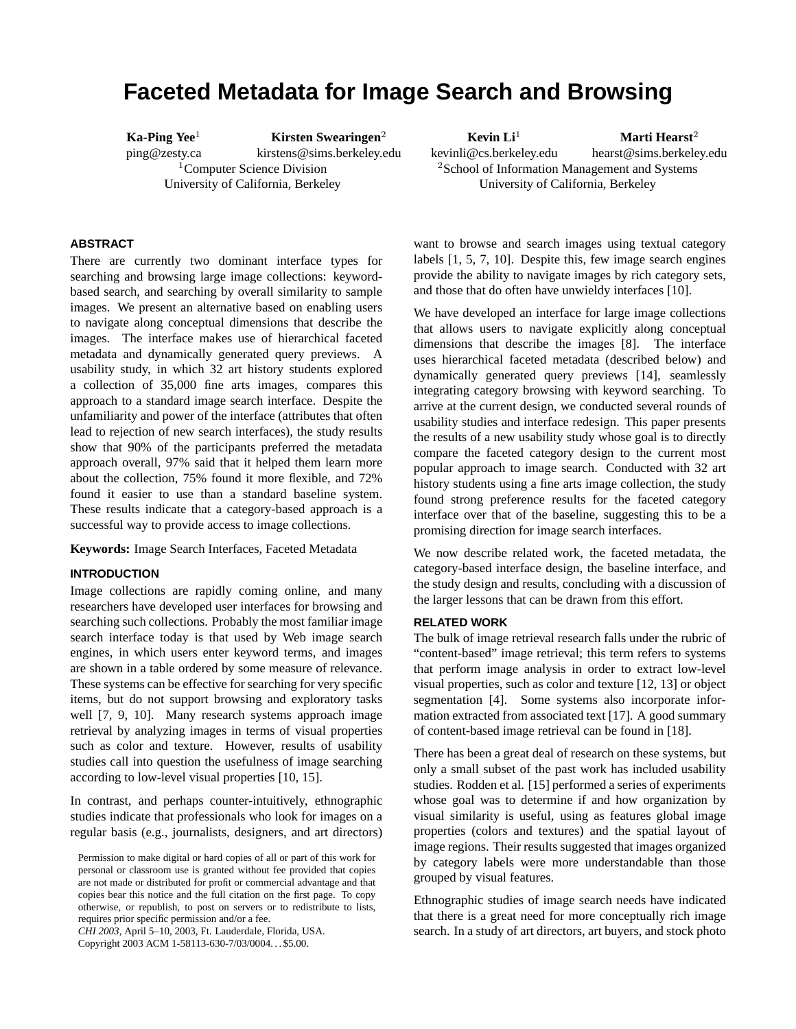# **Faceted Metadata for Image Search and Browsing**

**Ka-Ping Yee**<sup>1</sup> **Kirsten Swearingen**<sup>2</sup> **Kevin Li**<sup>1</sup> **Marti Hearst**<sup>2</sup> ping@zesty.ca kirstens@sims.berkeley.edu kevinli@cs.berkeley.edu hearst@sims.berkeley.edu <sup>1</sup>Computer Science Division <sup>2</sup>School of Information Management and Systems University of California, Berkeley University of California, Berkeley

# **ABSTRACT**

There are currently two dominant interface types for searching and browsing large image collections: keywordbased search, and searching by overall similarity to sample images. We present an alternative based on enabling users to navigate along conceptual dimensions that describe the images. The interface makes use of hierarchical faceted metadata and dynamically generated query previews. A usability study, in which 32 art history students explored a collection of 35,000 fine arts images, compares this approach to a standard image search interface. Despite the unfamiliarity and power of the interface (attributes that often lead to rejection of new search interfaces), the study results show that 90% of the participants preferred the metadata approach overall, 97% said that it helped them learn more about the collection, 75% found it more flexible, and 72% found it easier to use than a standard baseline system. These results indicate that a category-based approach is a successful way to provide access to image collections.

**Keywords:** Image Search Interfaces, Faceted Metadata

# **INTRODUCTION**

Image collections are rapidly coming online, and many researchers have developed user interfaces for browsing and searching such collections. Probably the most familiar image search interface today is that used by Web image search engines, in which users enter keyword terms, and images are shown in a table ordered by some measure of relevance. These systems can be effective for searching for very specific items, but do not support browsing and exploratory tasks well [7, 9, 10]. Many research systems approach image retrieval by analyzing images in terms of visual properties such as color and texture. However, results of usability studies call into question the usefulness of image searching according to low-level visual properties [10, 15].

In contrast, and perhaps counter-intuitively, ethnographic studies indicate that professionals who look for images on a regular basis (e.g., journalists, designers, and art directors)

*CHI 2003*, April 5–10, 2003, Ft. Lauderdale, Florida, USA.

Copyright 2003 ACM 1-58113-630-7/03/0004. . . \$5.00.

want to browse and search images using textual category labels [1, 5, 7, 10]. Despite this, few image search engines provide the ability to navigate images by rich category sets, and those that do often have unwieldy interfaces [10].

We have developed an interface for large image collections that allows users to navigate explicitly along conceptual dimensions that describe the images [8]. The interface uses hierarchical faceted metadata (described below) and dynamically generated query previews [14], seamlessly integrating category browsing with keyword searching. To arrive at the current design, we conducted several rounds of usability studies and interface redesign. This paper presents the results of a new usability study whose goal is to directly compare the faceted category design to the current most popular approach to image search. Conducted with 32 art history students using a fine arts image collection, the study found strong preference results for the faceted category interface over that of the baseline, suggesting this to be a promising direction for image search interfaces.

We now describe related work, the faceted metadata, the category-based interface design, the baseline interface, and the study design and results, concluding with a discussion of the larger lessons that can be drawn from this effort.

# **RELATED WORK**

The bulk of image retrieval research falls under the rubric of "content-based" image retrieval; this term refers to systems that perform image analysis in order to extract low-level visual properties, such as color and texture [12, 13] or object segmentation [4]. Some systems also incorporate information extracted from associated text [17]. A good summary of content-based image retrieval can be found in [18].

There has been a great deal of research on these systems, but only a small subset of the past work has included usability studies. Rodden et al. [15] performed a series of experiments whose goal was to determine if and how organization by visual similarity is useful, using as features global image properties (colors and textures) and the spatial layout of image regions. Their results suggested that images organized by category labels were more understandable than those grouped by visual features.

Ethnographic studies of image search needs have indicated that there is a great need for more conceptually rich image search. In a study of art directors, art buyers, and stock photo

Permission to make digital or hard copies of all or part of this work for personal or classroom use is granted without fee provided that copies are not made or distributed for profit or commercial advantage and that copies bear this notice and the full citation on the first page. To copy otherwise, or republish, to post on servers or to redistribute to lists, requires prior specific permission and/or a fee.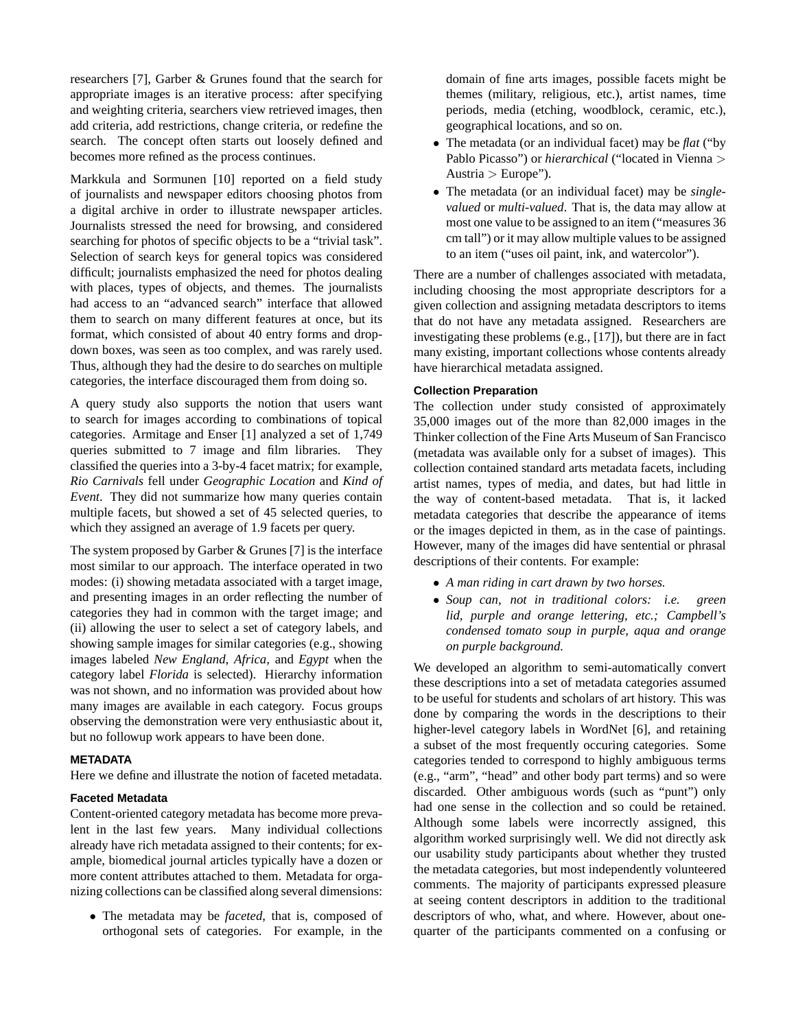researchers [7], Garber & Grunes found that the search for appropriate images is an iterative process: after specifying and weighting criteria, searchers view retrieved images, then add criteria, add restrictions, change criteria, or redefine the search. The concept often starts out loosely defined and becomes more refined as the process continues.

Markkula and Sormunen [10] reported on a field study of journalists and newspaper editors choosing photos from a digital archive in order to illustrate newspaper articles. Journalists stressed the need for browsing, and considered searching for photos of specific objects to be a "trivial task". Selection of search keys for general topics was considered difficult; journalists emphasized the need for photos dealing with places, types of objects, and themes. The journalists had access to an "advanced search" interface that allowed them to search on many different features at once, but its format, which consisted of about 40 entry forms and dropdown boxes, was seen as too complex, and was rarely used. Thus, although they had the desire to do searches on multiple categories, the interface discouraged them from doing so.

A query study also supports the notion that users want to search for images according to combinations of topical categories. Armitage and Enser [1] analyzed a set of 1,749 queries submitted to 7 image and film libraries. They classified the queries into a 3-by-4 facet matrix; for example, *Rio Carnivals* fell under *Geographic Location* and *Kind of Event*. They did not summarize how many queries contain multiple facets, but showed a set of 45 selected queries, to which they assigned an average of 1.9 facets per query.

The system proposed by Garber & Grunes [7] is the interface most similar to our approach. The interface operated in two modes: (i) showing metadata associated with a target image, and presenting images in an order reflecting the number of categories they had in common with the target image; and (ii) allowing the user to select a set of category labels, and showing sample images for similar categories (e.g., showing images labeled *New England*, *Africa*, and *Egypt* when the category label *Florida* is selected). Hierarchy information was not shown, and no information was provided about how many images are available in each category. Focus groups observing the demonstration were very enthusiastic about it, but no followup work appears to have been done.

# **METADATA**

Here we define and illustrate the notion of faceted metadata.

# **Faceted Metadata**

Content-oriented category metadata has become more prevalent in the last few years. Many individual collections already have rich metadata assigned to their contents; for example, biomedical journal articles typically have a dozen or more content attributes attached to them. Metadata for organizing collections can be classified along several dimensions:

• The metadata may be *faceted*, that is, composed of orthogonal sets of categories. For example, in the

domain of fine arts images, possible facets might be themes (military, religious, etc.), artist names, time periods, media (etching, woodblock, ceramic, etc.), geographical locations, and so on.

- The metadata (or an individual facet) may be *flat* ("by Pablo Picasso") or *hierarchical* ("located in Vienna > Austria  $>$  Europe").
- The metadata (or an individual facet) may be *singlevalued* or *multi-valued*. That is, the data may allow at most one value to be assigned to an item ("measures 36 cm tall") or it may allow multiple values to be assigned to an item ("uses oil paint, ink, and watercolor").

There are a number of challenges associated with metadata, including choosing the most appropriate descriptors for a given collection and assigning metadata descriptors to items that do not have any metadata assigned. Researchers are investigating these problems (e.g., [17]), but there are in fact many existing, important collections whose contents already have hierarchical metadata assigned.

#### **Collection Preparation**

The collection under study consisted of approximately 35,000 images out of the more than 82,000 images in the Thinker collection of the Fine Arts Museum of San Francisco (metadata was available only for a subset of images). This collection contained standard arts metadata facets, including artist names, types of media, and dates, but had little in the way of content-based metadata. That is, it lacked metadata categories that describe the appearance of items or the images depicted in them, as in the case of paintings. However, many of the images did have sentential or phrasal descriptions of their contents. For example:

- *A man riding in cart drawn by two horses.*
- *Soup can, not in traditional colors: i.e. green lid, purple and orange lettering, etc.; Campbell's condensed tomato soup in purple, aqua and orange on purple background.*

We developed an algorithm to semi-automatically convert these descriptions into a set of metadata categories assumed to be useful for students and scholars of art history. This was done by comparing the words in the descriptions to their higher-level category labels in WordNet [6], and retaining a subset of the most frequently occuring categories. Some categories tended to correspond to highly ambiguous terms (e.g., "arm", "head" and other body part terms) and so were discarded. Other ambiguous words (such as "punt") only had one sense in the collection and so could be retained. Although some labels were incorrectly assigned, this algorithm worked surprisingly well. We did not directly ask our usability study participants about whether they trusted the metadata categories, but most independently volunteered comments. The majority of participants expressed pleasure at seeing content descriptors in addition to the traditional descriptors of who, what, and where. However, about onequarter of the participants commented on a confusing or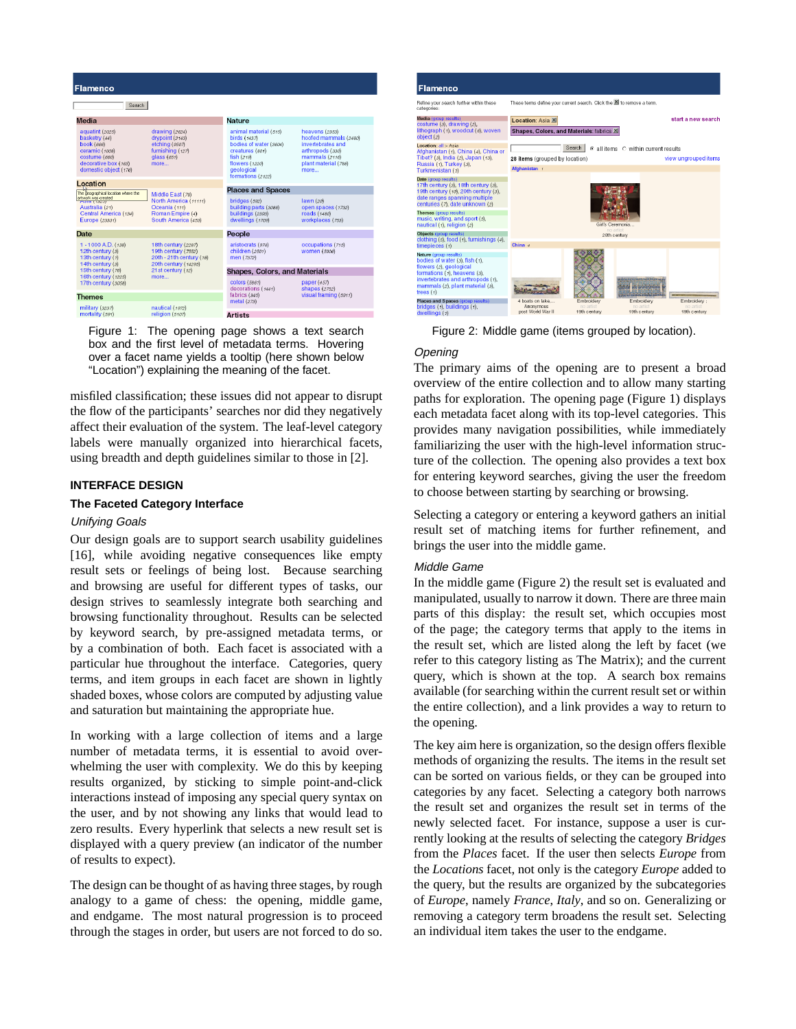| Flamenco                                                                                                                                  |                                                                                                                             |                                                                                                                                                      |                                                                                                                                    |  |
|-------------------------------------------------------------------------------------------------------------------------------------------|-----------------------------------------------------------------------------------------------------------------------------|------------------------------------------------------------------------------------------------------------------------------------------------------|------------------------------------------------------------------------------------------------------------------------------------|--|
| Search                                                                                                                                    |                                                                                                                             |                                                                                                                                                      |                                                                                                                                    |  |
| Media                                                                                                                                     |                                                                                                                             | Nature                                                                                                                                               |                                                                                                                                    |  |
| aquatint (2025)<br>basketry (44)<br>book (666)<br>ceramic (1008)<br>costume (660)<br>decorative box (163)<br>domestic object (176)        | drawing (2624)<br>divpoint(2143)<br>etching (9507)<br>fumishing (127)<br>class(651)<br>more                                 | animal material (515)<br>birds (1437)<br>bodies of water (3604)<br>creatures (801)<br>fish(219)<br>flowers (1220)<br>geological<br>formations (2122) | heavens (2353)<br>hoofed mammals (2480)<br>invertebrates and<br>arthropods (330)<br>mammals (2116)<br>plant material (788)<br>more |  |
| Location                                                                                                                                  |                                                                                                                             | <b>Places and Spaces</b>                                                                                                                             |                                                                                                                                    |  |
| The decorachical location where the<br>artwork was created<br>$A$ ora (1320)<br>Australia (21)<br>Central America (134)<br>Europe (23331) | Middle East (78)<br>North America (11111)<br>Oceania (111)<br>Roman Empire (4)<br>South America (453)                       | bridges $(592)$<br>building parts (3088)<br>buildings (2393)<br>dwellings (1709)                                                                     | lawn $(20)$<br>open spaces (1732)<br>roads (1480)<br>workplaces (753)                                                              |  |
| Date                                                                                                                                      |                                                                                                                             | People                                                                                                                                               |                                                                                                                                    |  |
| 1 - 1000 A.D. (138)<br>12th century (3)<br>13th century (1)<br>14th century (3)<br>15th century (76)<br>16th century (1225)               | 18th century (2287)<br>19th century (7552)<br>20th - 21th century (18)<br>20th century (14295)<br>21st century (12)<br>more | aristocrats (974)<br>children (2501)<br>men (7372)                                                                                                   | occupations (715)<br>women (5906)                                                                                                  |  |
|                                                                                                                                           |                                                                                                                             | Shapes, Colors, and Materials                                                                                                                        |                                                                                                                                    |  |
| 17th century (3058)                                                                                                                       |                                                                                                                             | colors (5861)<br>decorations (1441)                                                                                                                  | paper $(457)$<br>shapes (2752)                                                                                                     |  |
| <b>Themes</b>                                                                                                                             |                                                                                                                             | fabrics (345)<br>metal (273)                                                                                                                         | visual framing (5911)                                                                                                              |  |
| military (3237)<br>mortality (591)                                                                                                        | nautical (1972)<br>religion (5107)                                                                                          | <b>Artists</b>                                                                                                                                       |                                                                                                                                    |  |

Figure 1: The opening page shows a text search box and the first level of metadata terms. Hovering over a facet name yields a tooltip (here shown below "Location") explaining the meaning of the facet.

misfiled classification; these issues did not appear to disrupt the flow of the participants' searches nor did they negatively affect their evaluation of the system. The leaf-level category labels were manually organized into hierarchical facets, using breadth and depth guidelines similar to those in [2].

# **INTERFACE DESIGN**

# **The Faceted Category Interface**

# Unifying Goals

Our design goals are to support search usability guidelines [16], while avoiding negative consequences like empty result sets or feelings of being lost. Because searching and browsing are useful for different types of tasks, our design strives to seamlessly integrate both searching and browsing functionality throughout. Results can be selected by keyword search, by pre-assigned metadata terms, or by a combination of both. Each facet is associated with a particular hue throughout the interface. Categories, query terms, and item groups in each facet are shown in lightly shaded boxes, whose colors are computed by adjusting value and saturation but maintaining the appropriate hue.

In working with a large collection of items and a large number of metadata terms, it is essential to avoid overwhelming the user with complexity. We do this by keeping results organized, by sticking to simple point-and-click interactions instead of imposing any special query syntax on the user, and by not showing any links that would lead to zero results. Every hyperlink that selects a new result set is displayed with a query preview (an indicator of the number of results to expect).

The design can be thought of as having three stages, by rough analogy to a game of chess: the opening, middle game, and endgame. The most natural progression is to proceed through the stages in order, but users are not forced to do so.



Figure 2: Middle game (items grouped by location).

## **Opening**

The primary aims of the opening are to present a broad overview of the entire collection and to allow many starting paths for exploration. The opening page (Figure 1) displays each metadata facet along with its top-level categories. This provides many navigation possibilities, while immediately familiarizing the user with the high-level information structure of the collection. The opening also provides a text box for entering keyword searches, giving the user the freedom to choose between starting by searching or browsing.

Selecting a category or entering a keyword gathers an initial result set of matching items for further refinement, and brings the user into the middle game.

## Middle Game

In the middle game (Figure 2) the result set is evaluated and manipulated, usually to narrow it down. There are three main parts of this display: the result set, which occupies most of the page; the category terms that apply to the items in the result set, which are listed along the left by facet (we refer to this category listing as The Matrix); and the current query, which is shown at the top. A search box remains available (for searching within the current result set or within the entire collection), and a link provides a way to return to the opening.

The key aim here is organization, so the design offers flexible methods of organizing the results. The items in the result set can be sorted on various fields, or they can be grouped into categories by any facet. Selecting a category both narrows the result set and organizes the result set in terms of the newly selected facet. For instance, suppose a user is currently looking at the results of selecting the category *Bridges* from the *Places* facet. If the user then selects *Europe* from the *Locations* facet, not only is the category *Europe* added to the query, but the results are organized by the subcategories of *Europe*, namely *France*, *Italy*, and so on. Generalizing or removing a category term broadens the result set. Selecting an individual item takes the user to the endgame.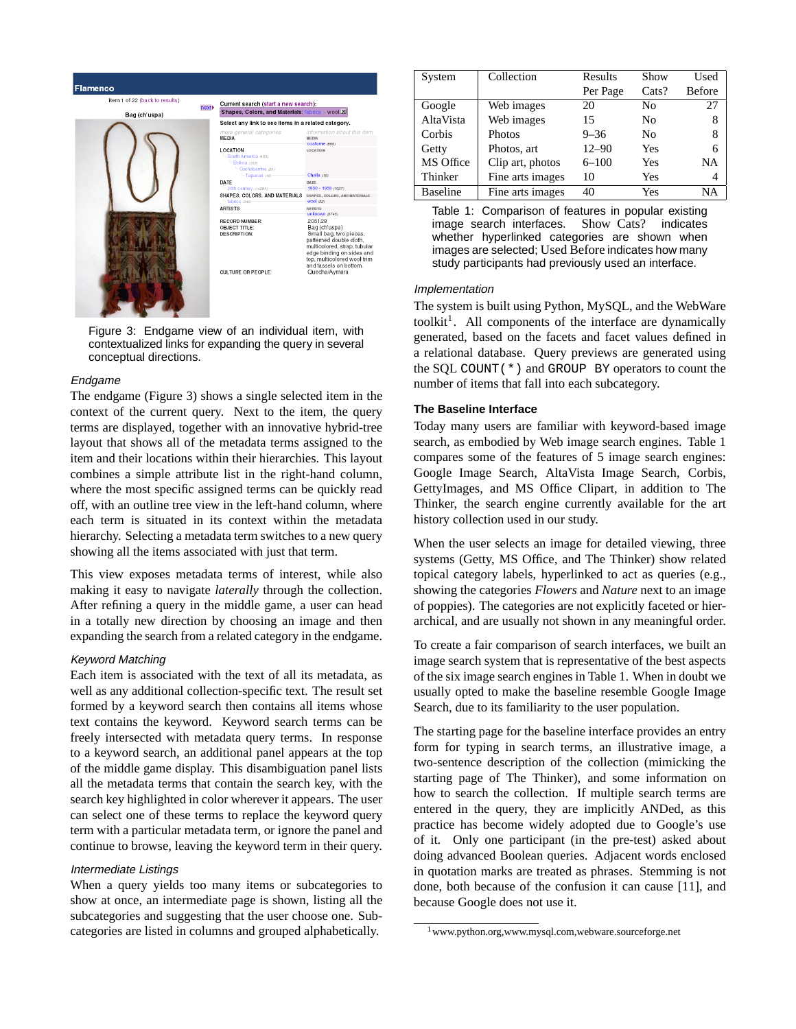

Figure 3: Endgame view of an individual item, with contextualized links for expanding the query in several conceptual directions.

## Endgame

The endgame (Figure 3) shows a single selected item in the context of the current query. Next to the item, the query terms are displayed, together with an innovative hybrid-tree layout that shows all of the metadata terms assigned to the item and their locations within their hierarchies. This layout combines a simple attribute list in the right-hand column, where the most specific assigned terms can be quickly read off, with an outline tree view in the left-hand column, where each term is situated in its context within the metadata hierarchy. Selecting a metadata term switches to a new query showing all the items associated with just that term.

This view exposes metadata terms of interest, while also making it easy to navigate *laterally* through the collection. After refining a query in the middle game, a user can head in a totally new direction by choosing an image and then expanding the search from a related category in the endgame.

#### Keyword Matching

Each item is associated with the text of all its metadata, as well as any additional collection-specific text. The result set formed by a keyword search then contains all items whose text contains the keyword. Keyword search terms can be freely intersected with metadata query terms. In response to a keyword search, an additional panel appears at the top of the middle game display. This disambiguation panel lists all the metadata terms that contain the search key, with the search key highlighted in color wherever it appears. The user can select one of these terms to replace the keyword query term with a particular metadata term, or ignore the panel and continue to browse, leaving the keyword term in their query.

#### Intermediate Listings

When a query yields too many items or subcategories to show at once, an intermediate page is shown, listing all the subcategories and suggesting that the user choose one. Subcategories are listed in columns and grouped alphabetically.

| System          | Collection       | Results   | Show  | Used          |
|-----------------|------------------|-----------|-------|---------------|
|                 |                  | Per Page  | Cats? | <b>Before</b> |
| Google          | Web images       | 20        | No    | 27            |
| AltaVista       | Web images       | 15        | No    | 8             |
| Corbis          | <b>Photos</b>    | $9 - 36$  | No    | 8             |
| Getty           | Photos, art      | $12 - 90$ | Yes   | 6             |
| MS Office       | Clip art, photos | $6 - 100$ | Yes   | NA            |
| Thinker         | Fine arts images | 10        | Yes   |               |
| <b>Baseline</b> | Fine arts images | 40        | Yes   | NA            |

Table 1: Comparison of features in popular existing image search interfaces. Show Cats? indicates whether hyperlinked categories are shown when images are selected; Used Before indicates how many study participants had previously used an interface.

#### Implementation

The system is built using Python, MySQL, and the WebWare toolkit<sup>1</sup>. All components of the interface are dynamically generated, based on the facets and facet values defined in a relational database. Query previews are generated using the SQL COUNT(\*) and GROUP BY operators to count the number of items that fall into each subcategory.

## **The Baseline Interface**

Today many users are familiar with keyword-based image search, as embodied by Web image search engines. Table 1 compares some of the features of 5 image search engines: Google Image Search, AltaVista Image Search, Corbis, GettyImages, and MS Office Clipart, in addition to The Thinker, the search engine currently available for the art history collection used in our study.

When the user selects an image for detailed viewing, three systems (Getty, MS Office, and The Thinker) show related topical category labels, hyperlinked to act as queries (e.g., showing the categories *Flowers* and *Nature* next to an image of poppies). The categories are not explicitly faceted or hierarchical, and are usually not shown in any meaningful order.

To create a fair comparison of search interfaces, we built an image search system that is representative of the best aspects of the six image search engines in Table 1. When in doubt we usually opted to make the baseline resemble Google Image Search, due to its familiarity to the user population.

The starting page for the baseline interface provides an entry form for typing in search terms, an illustrative image, a two-sentence description of the collection (mimicking the starting page of The Thinker), and some information on how to search the collection. If multiple search terms are entered in the query, they are implicitly ANDed, as this practice has become widely adopted due to Google's use of it. Only one participant (in the pre-test) asked about doing advanced Boolean queries. Adjacent words enclosed in quotation marks are treated as phrases. Stemming is not done, both because of the confusion it can cause [11], and because Google does not use it.

<sup>1</sup>www.python.org,www.mysql.com,webware.sourceforge.net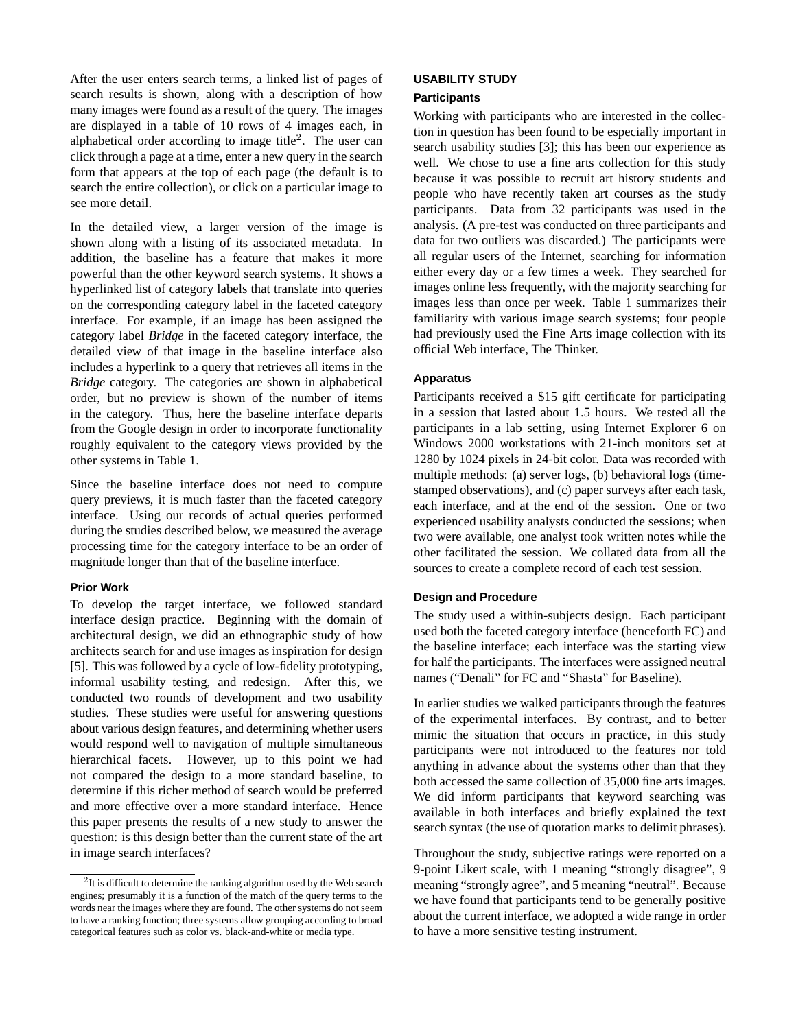After the user enters search terms, a linked list of pages of search results is shown, along with a description of how many images were found as a result of the query. The images are displayed in a table of 10 rows of 4 images each, in alphabetical order according to image title<sup>2</sup>. The user can click through a page at a time, enter a new query in the search form that appears at the top of each page (the default is to search the entire collection), or click on a particular image to see more detail.

In the detailed view, a larger version of the image is shown along with a listing of its associated metadata. In addition, the baseline has a feature that makes it more powerful than the other keyword search systems. It shows a hyperlinked list of category labels that translate into queries on the corresponding category label in the faceted category interface. For example, if an image has been assigned the category label *Bridge* in the faceted category interface, the detailed view of that image in the baseline interface also includes a hyperlink to a query that retrieves all items in the *Bridge* category. The categories are shown in alphabetical order, but no preview is shown of the number of items in the category. Thus, here the baseline interface departs from the Google design in order to incorporate functionality roughly equivalent to the category views provided by the other systems in Table 1.

Since the baseline interface does not need to compute query previews, it is much faster than the faceted category interface. Using our records of actual queries performed during the studies described below, we measured the average processing time for the category interface to be an order of magnitude longer than that of the baseline interface.

# **Prior Work**

To develop the target interface, we followed standard interface design practice. Beginning with the domain of architectural design, we did an ethnographic study of how architects search for and use images as inspiration for design [5]. This was followed by a cycle of low-fidelity prototyping, informal usability testing, and redesign. After this, we conducted two rounds of development and two usability studies. These studies were useful for answering questions about various design features, and determining whether users would respond well to navigation of multiple simultaneous hierarchical facets. However, up to this point we had not compared the design to a more standard baseline, to determine if this richer method of search would be preferred and more effective over a more standard interface. Hence this paper presents the results of a new study to answer the question: is this design better than the current state of the art in image search interfaces?

# **USABILITY STUDY**

## **Participants**

Working with participants who are interested in the collection in question has been found to be especially important in search usability studies [3]; this has been our experience as well. We chose to use a fine arts collection for this study because it was possible to recruit art history students and people who have recently taken art courses as the study participants. Data from 32 participants was used in the analysis. (A pre-test was conducted on three participants and data for two outliers was discarded.) The participants were all regular users of the Internet, searching for information either every day or a few times a week. They searched for images online less frequently, with the majority searching for images less than once per week. Table 1 summarizes their familiarity with various image search systems; four people had previously used the Fine Arts image collection with its official Web interface, The Thinker.

# **Apparatus**

Participants received a \$15 gift certificate for participating in a session that lasted about 1.5 hours. We tested all the participants in a lab setting, using Internet Explorer 6 on Windows 2000 workstations with 21-inch monitors set at 1280 by 1024 pixels in 24-bit color. Data was recorded with multiple methods: (a) server logs, (b) behavioral logs (timestamped observations), and (c) paper surveys after each task, each interface, and at the end of the session. One or two experienced usability analysts conducted the sessions; when two were available, one analyst took written notes while the other facilitated the session. We collated data from all the sources to create a complete record of each test session.

# **Design and Procedure**

The study used a within-subjects design. Each participant used both the faceted category interface (henceforth FC) and the baseline interface; each interface was the starting view for half the participants. The interfaces were assigned neutral names ("Denali" for FC and "Shasta" for Baseline).

In earlier studies we walked participants through the features of the experimental interfaces. By contrast, and to better mimic the situation that occurs in practice, in this study participants were not introduced to the features nor told anything in advance about the systems other than that they both accessed the same collection of 35,000 fine arts images. We did inform participants that keyword searching was available in both interfaces and briefly explained the text search syntax (the use of quotation marks to delimit phrases).

Throughout the study, subjective ratings were reported on a 9-point Likert scale, with 1 meaning "strongly disagree", 9 meaning "strongly agree", and 5 meaning "neutral". Because we have found that participants tend to be generally positive about the current interface, we adopted a wide range in order to have a more sensitive testing instrument.

 $^2\mathrm{It}$  is difficult to determine the ranking algorithm used by the Web search engines; presumably it is a function of the match of the query terms to the words near the images where they are found. The other systems do not seem to have a ranking function; three systems allow grouping according to broad categorical features such as color vs. black-and-white or media type.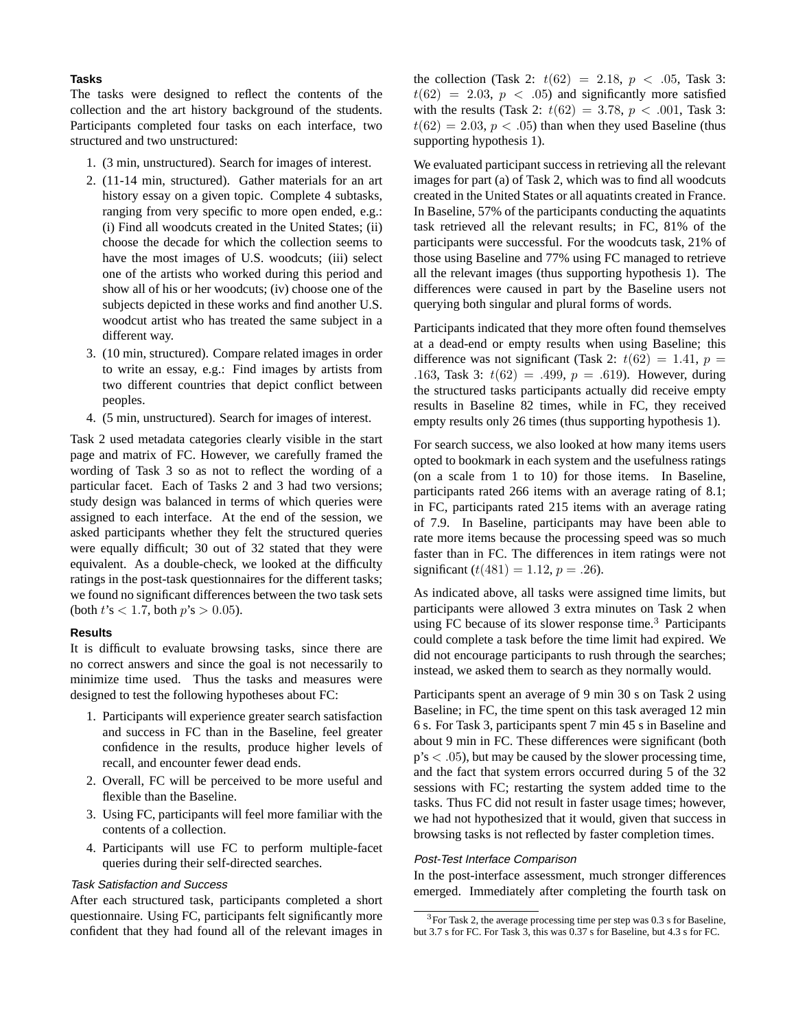# **Tasks**

The tasks were designed to reflect the contents of the collection and the art history background of the students. Participants completed four tasks on each interface, two structured and two unstructured:

- 1. (3 min, unstructured). Search for images of interest.
- 2. (11-14 min, structured). Gather materials for an art history essay on a given topic. Complete 4 subtasks, ranging from very specific to more open ended, e.g.: (i) Find all woodcuts created in the United States; (ii) choose the decade for which the collection seems to have the most images of U.S. woodcuts; (iii) select one of the artists who worked during this period and show all of his or her woodcuts; (iv) choose one of the subjects depicted in these works and find another U.S. woodcut artist who has treated the same subject in a different way.
- 3. (10 min, structured). Compare related images in order to write an essay, e.g.: Find images by artists from two different countries that depict conflict between peoples.
- 4. (5 min, unstructured). Search for images of interest.

Task 2 used metadata categories clearly visible in the start page and matrix of FC. However, we carefully framed the wording of Task 3 so as not to reflect the wording of a particular facet. Each of Tasks 2 and 3 had two versions; study design was balanced in terms of which queries were assigned to each interface. At the end of the session, we asked participants whether they felt the structured queries were equally difficult; 30 out of 32 stated that they were equivalent. As a double-check, we looked at the difficulty ratings in the post-task questionnaires for the different tasks; we found no significant differences between the two task sets (both  $t$ 's  $<$  1.7, both  $p$ 's  $>$  0.05).

#### **Results**

It is difficult to evaluate browsing tasks, since there are no correct answers and since the goal is not necessarily to minimize time used. Thus the tasks and measures were designed to test the following hypotheses about FC:

- 1. Participants will experience greater search satisfaction and success in FC than in the Baseline, feel greater confidence in the results, produce higher levels of recall, and encounter fewer dead ends.
- 2. Overall, FC will be perceived to be more useful and flexible than the Baseline.
- 3. Using FC, participants will feel more familiar with the contents of a collection.
- 4. Participants will use FC to perform multiple-facet queries during their self-directed searches.

# Task Satisfaction and Success

After each structured task, participants completed a short questionnaire. Using FC, participants felt significantly more confident that they had found all of the relevant images in

the collection (Task 2:  $t(62) = 2.18, p < .05$ , Task 3:  $t(62) = 2.03$ ,  $p < .05$ ) and significantly more satisfied with the results (Task 2:  $t(62) = 3.78, p < .001$ , Task 3:  $t(62) = 2.03$ ,  $p < .05$ ) than when they used Baseline (thus supporting hypothesis 1).

We evaluated participant success in retrieving all the relevant images for part (a) of Task 2, which was to find all woodcuts created in the United States or all aquatints created in France. In Baseline, 57% of the participants conducting the aquatints task retrieved all the relevant results; in FC, 81% of the participants were successful. For the woodcuts task, 21% of those using Baseline and 77% using FC managed to retrieve all the relevant images (thus supporting hypothesis 1). The differences were caused in part by the Baseline users not querying both singular and plural forms of words.

Participants indicated that they more often found themselves at a dead-end or empty results when using Baseline; this difference was not significant (Task 2:  $t(62) = 1.41$ ,  $p =$ .163, Task 3:  $t(62) = .499$ ,  $p = .619$ ). However, during the structured tasks participants actually did receive empty results in Baseline 82 times, while in FC, they received empty results only 26 times (thus supporting hypothesis 1).

For search success, we also looked at how many items users opted to bookmark in each system and the usefulness ratings (on a scale from 1 to 10) for those items. In Baseline, participants rated 266 items with an average rating of 8.1; in FC, participants rated 215 items with an average rating of 7.9. In Baseline, participants may have been able to rate more items because the processing speed was so much faster than in FC. The differences in item ratings were not significant ( $t(481) = 1.12, p = .26$ ).

As indicated above, all tasks were assigned time limits, but participants were allowed 3 extra minutes on Task 2 when using FC because of its slower response time.<sup>3</sup> Participants could complete a task before the time limit had expired. We did not encourage participants to rush through the searches; instead, we asked them to search as they normally would.

Participants spent an average of 9 min 30 s on Task 2 using Baseline; in FC, the time spent on this task averaged 12 min 6 s. For Task 3, participants spent 7 min 45 s in Baseline and about 9 min in FC. These differences were significant (both  $p's < .05$ ), but may be caused by the slower processing time, and the fact that system errors occurred during 5 of the 32 sessions with FC; restarting the system added time to the tasks. Thus FC did not result in faster usage times; however, we had not hypothesized that it would, given that success in browsing tasks is not reflected by faster completion times.

## Post-Test Interface Comparison

In the post-interface assessment, much stronger differences emerged. Immediately after completing the fourth task on

<sup>3</sup>For Task 2, the average processing time per step was 0.3 s for Baseline, but 3.7 s for FC. For Task 3, this was 0.37 s for Baseline, but 4.3 s for FC.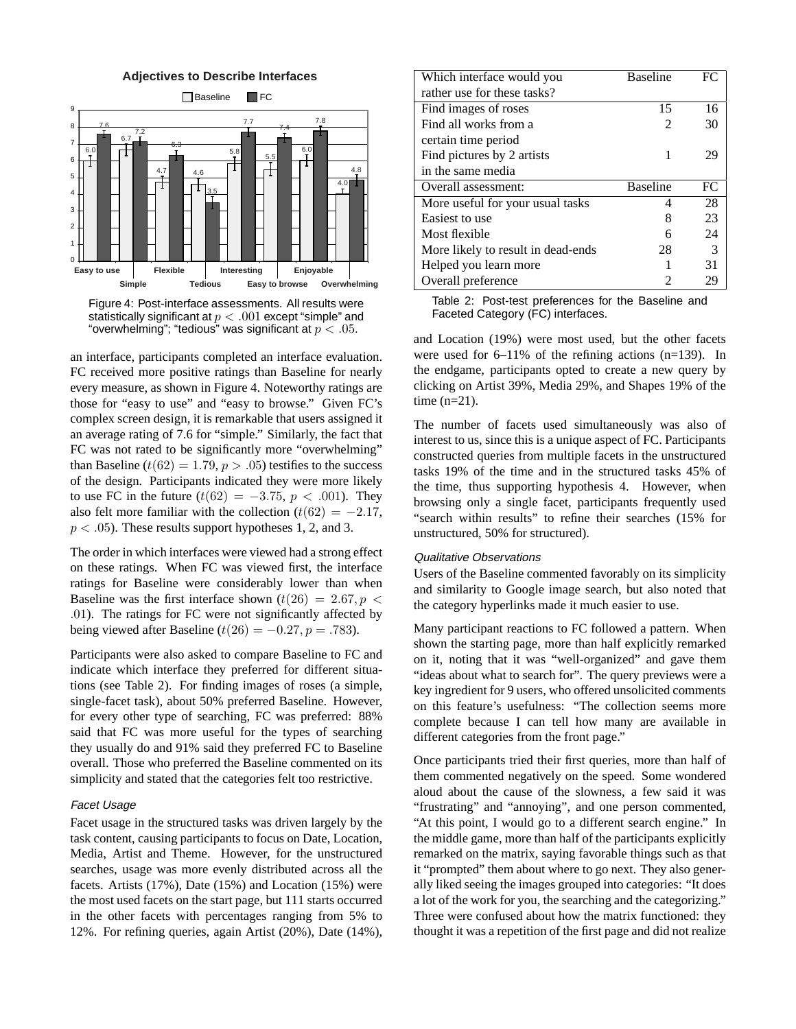#### **Adjectives to Describe Interfaces**



Figure 4: Post-interface assessments. All results were statistically significant at  $p < .001$  except "simple" and "overwhelming"; "tedious" was significant at  $p < .05$ .

an interface, participants completed an interface evaluation. FC received more positive ratings than Baseline for nearly every measure, as shown in Figure 4. Noteworthy ratings are those for "easy to use" and "easy to browse." Given FC's complex screen design, it is remarkable that users assigned it an average rating of 7.6 for "simple." Similarly, the fact that FC was not rated to be significantly more "overwhelming" than Baseline ( $t(62) = 1.79$ ,  $p > .05$ ) testifies to the success of the design. Participants indicated they were more likely to use FC in the future  $(t(62) = -3.75, p < .001)$ . They also felt more familiar with the collection  $(t(62) = -2.17$ ,  $p < .05$ ). These results support hypotheses 1, 2, and 3.

The order in which interfaces were viewed had a strong effect on these ratings. When FC was viewed first, the interface ratings for Baseline were considerably lower than when Baseline was the first interface shown  $(t(26) = 2.67, p <$ .01). The ratings for FC were not significantly affected by being viewed after Baseline ( $t(26) = -0.27$ ,  $p = .783$ ).

Participants were also asked to compare Baseline to FC and indicate which interface they preferred for different situations (see Table 2). For finding images of roses (a simple, single-facet task), about 50% preferred Baseline. However, for every other type of searching, FC was preferred: 88% said that FC was more useful for the types of searching they usually do and 91% said they preferred FC to Baseline overall. Those who preferred the Baseline commented on its simplicity and stated that the categories felt too restrictive.

# Facet Usage

Facet usage in the structured tasks was driven largely by the task content, causing participants to focus on Date, Location, Media, Artist and Theme. However, for the unstructured searches, usage was more evenly distributed across all the facets. Artists (17%), Date (15%) and Location (15%) were the most used facets on the start page, but 111 starts occurred in the other facets with percentages ranging from 5% to 12%. For refining queries, again Artist (20%), Date (14%),

| Which interface would you          | <b>Baseline</b> | FC |
|------------------------------------|-----------------|----|
| rather use for these tasks?        |                 |    |
| Find images of roses               | 15              | 16 |
| Find all works from a              | $\mathfrak{D}$  | 30 |
| certain time period                |                 |    |
| Find pictures by 2 artists         | 1               | 29 |
| in the same media                  |                 |    |
|                                    |                 |    |
| Overall assessment:                | <b>Baseline</b> | FC |
| More useful for your usual tasks   | 4               | 28 |
| Easiest to use                     | 8               | 23 |
| Most flexible                      | 6               | 24 |
| More likely to result in dead-ends | 28              | 3  |
| Helped you learn more              | 1               | 31 |

Table 2: Post-test preferences for the Baseline and Faceted Category (FC) interfaces.

and Location (19%) were most used, but the other facets were used for  $6-11\%$  of the refining actions (n=139). In the endgame, participants opted to create a new query by clicking on Artist 39%, Media 29%, and Shapes 19% of the time (n=21).

The number of facets used simultaneously was also of interest to us, since this is a unique aspect of FC. Participants constructed queries from multiple facets in the unstructured tasks 19% of the time and in the structured tasks 45% of the time, thus supporting hypothesis 4. However, when browsing only a single facet, participants frequently used "search within results" to refine their searches (15% for unstructured, 50% for structured).

## Qualitative Observations

Users of the Baseline commented favorably on its simplicity and similarity to Google image search, but also noted that the category hyperlinks made it much easier to use.

Many participant reactions to FC followed a pattern. When shown the starting page, more than half explicitly remarked on it, noting that it was "well-organized" and gave them "ideas about what to search for". The query previews were a key ingredient for 9 users, who offered unsolicited comments on this feature's usefulness: "The collection seems more complete because I can tell how many are available in different categories from the front page."

Once participants tried their first queries, more than half of them commented negatively on the speed. Some wondered aloud about the cause of the slowness, a few said it was "frustrating" and "annoying", and one person commented, "At this point, I would go to a different search engine." In the middle game, more than half of the participants explicitly remarked on the matrix, saying favorable things such as that it "prompted" them about where to go next. They also generally liked seeing the images grouped into categories: "It does a lot of the work for you, the searching and the categorizing." Three were confused about how the matrix functioned: they thought it was a repetition of the first page and did not realize